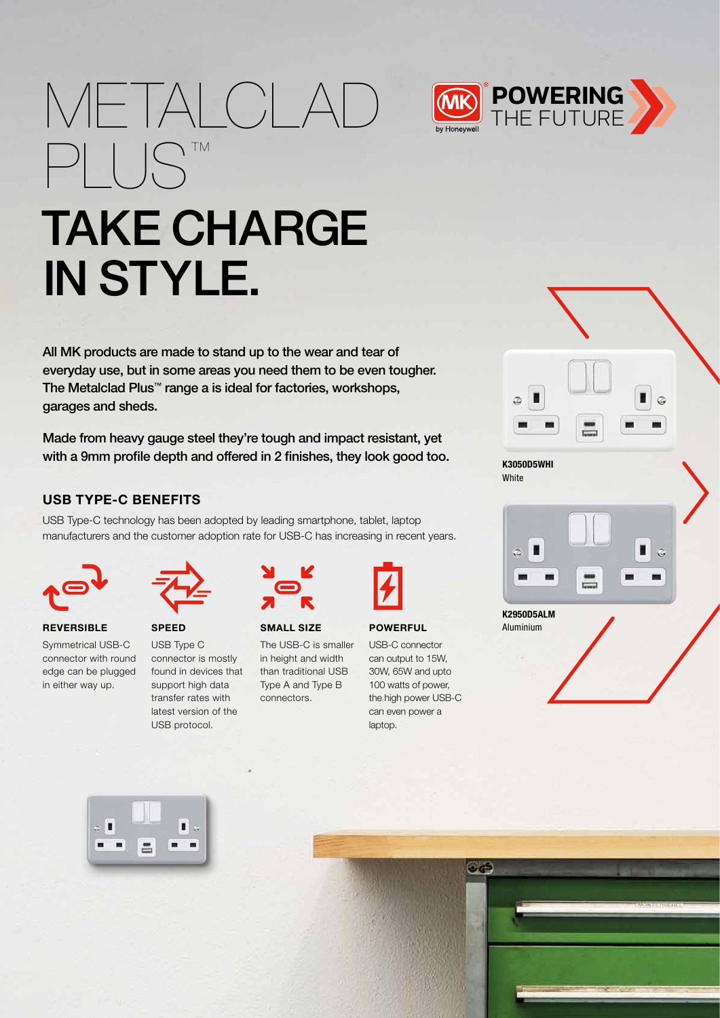# METALCLAD **(MB)** POWERING PLUS™



# TAKE CHARGE IN STYLE.

All MK products are made to stand up to the wear and tear of everyday use, but in some areas you need them to be even tougher. The Metalclad Plus™ range a is ideal for factories, workshops, garages and sheds.

Made from heavy gauge steel they're tough and impact resistant, yet with a 9mm profile depth and offered in 2 finishes, they look good too.

# USB TYPE-C BENEFITS

USB Type-C technology has been adopted by leading smartphone, tablet, laptop manufacturers and the customer adoption rate for USB-C has increasing in recent years.



**REVERSIBLE** 

in either way up.



Symmetrical USB-C connector with round edge can be plugged SPEED USB Type C connector is mostly found in devices that support high data transfer rates with latest version of the USB protocol.



#### SMALL SIZE

The USB-C is smaller in height and width than traditional USB Type A and Type B connectors.



#### **POWERFUL**

USB-C connector can output to 15W, 30W, 65W and upto 100 watts of power, the high power USB-C can even power a laptop.

 $\mathbf{0}$  defined by